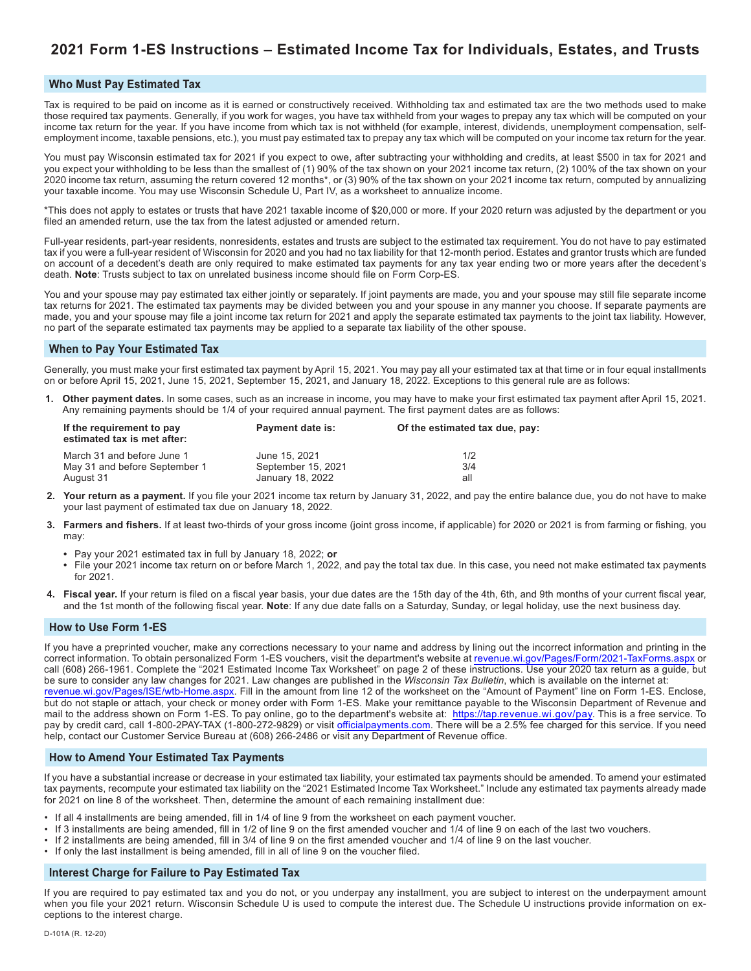# **2021 Form 1-ES Instructions – Estimated Income Tax for Individuals, Estates, and Trusts**

### **Who Must Pay Estimated Tax**

Tax is required to be paid on income as it is earned or constructively received. Withholding tax and estimated tax are the two methods used to make those required tax payments. Generally, if you work for wages, you have tax withheld from your wages to prepay any tax which will be computed on your income tax return for the year. If you have income from which tax is not withheld (for example, interest, dividends, unemployment compensation, selfemployment income, taxable pensions, etc.), you must pay estimated tax to prepay any tax which will be computed on your income tax return for the year.

You must pay Wisconsin estimated tax for 2021 if you expect to owe, after subtracting your withholding and credits, at least \$500 in tax for 2021 and you expect your withholding to be less than the smallest of (1) 90% of the tax shown on your 2021 income tax return, (2) 100% of the tax shown on your 2020 income tax return, assuming the return covered 12 months\*, or (3) 90% of the tax shown on your 2021 income tax return, computed by annualizing your taxable income. You may use Wisconsin Schedule U, Part IV, as a worksheet to annualize income.

\*This does not apply to estates or trusts that have 2021 taxable income of \$20,000 or more. If your 2020 return was adjusted by the department or you filed an amended return, use the tax from the latest adjusted or amended return.

Full-year residents, part-year residents, nonresidents, estates and trusts are subject to the estimated tax requirement. You do not have to pay estimated tax if you were a full-year resident of Wisconsin for 2020 and you had no tax liability for that 12-month period. Estates and grantor trusts which are funded on account of a decedent's death are only required to make estimated tax payments for any tax year ending two or more years after the decedent's death. **Note**: Trusts subject to tax on unrelated business income should file on Form Corp-ES.

You and your spouse may pay estimated tax either jointly or separately. If joint payments are made, you and your spouse may still file separate income tax returns for 2021. The estimated tax payments may be divided between you and your spouse in any manner you choose. If separate payments are made, you and your spouse may file a joint income tax return for 2021 and apply the separate estimated tax payments to the joint tax liability. However, no part of the separate estimated tax payments may be applied to a separate tax liability of the other spouse.

#### **When to Pay Your Estimated Tax**

Generally, you must make your first estimated tax payment by April 15, 2021. You may pay all your estimated tax at that time or in four equal installments on or before April 15, 2021, June 15, 2021, September 15, 2021, and January 18, 2022. Exceptions to this general rule are as follows:

**1. Other payment dates.** In some cases, such as an increase in income, you may have to make your first estimated tax payment after April 15, 2021. Any remaining payments should be 1/4 of your required annual payment. The first payment dates are as follows:

| If the requirement to pay<br>estimated tax is met after: | Payment date is:   | Of the estimated tax due, pay: |  |  |  |
|----------------------------------------------------------|--------------------|--------------------------------|--|--|--|
| March 31 and before June 1                               | June 15, 2021      | 1/2                            |  |  |  |
| May 31 and before September 1                            | September 15, 2021 | 3/4                            |  |  |  |
| August 31                                                | January 18, 2022   | all                            |  |  |  |

- **2. Your return as a payment.** If you file your 2021 income tax return by January 31, 2022, and pay the entire balance due, you do not have to make your last payment of estimated tax due on January 18, 2022.
- **3. Farmers and fishers.** If at least two-thirds of your gross income (joint gross income, if applicable) for 2020 or 2021 is from farming or fishing, you may:
	- **•** Pay your 2021 estimated tax in full by January 18, 2022; **or**
	- **•** File your 2021 income tax return on or before March 1, 2022, and pay the total tax due. In this case, you need not make estimated tax payments for 2021.
- **4. Fiscal year.** If your return is filed on a fiscal year basis, your due dates are the 15th day of the 4th, 6th, and 9th months of your current fiscal year, and the 1st month of the following fiscal year. **Note**: If any due date falls on a Saturday, Sunday, or legal holiday, use the next business day.

#### **How to Use Form 1-ES**

If you have a preprinted voucher, make any corrections necessary to your name and address by lining out the incorrect information and printing in the correct information. To obtain personalized Form 1-ES vouchers, visit the department's website at [revenue.wi.gov/Pages/Form/2021-TaxForms.aspx](https://www.revenue.wi.gov/Pages/Form/2021-TaxForms.aspx) or call (608) 266-1961. Complete the "2021 Estimated Income Tax Worksheet" on page 2 of these instructions. Use your 2020 tax return as a guide, but be sure to consider any law changes for 2021. Law changes are published in the *Wisconsin Tax Bulletin*, which is available on the internet at: [revenue.wi.gov](https://www.revenue.wi.gov/Pages/ISE/wtb-Home.aspx)/Pages/ISE/wtb-Home.aspx. Fill in the amount from line 12 of the worksheet on the "Amount of Payment" line on Form 1-ES. Enclose, but do not staple or attach, your check or money order with Form 1-ES. Make your remittance payable to the Wisconsin Department of Revenue and mail to the address shown on Form 1-ES. To pay online, go to the department's website at: <https://tap.revenue.wi.gov/pay>. This is a free service. To pay by credit card, call 1-800-2PAY-TAX (1-800-272-9829) or visit [officialpayments.com](https://www.officialpayments.com). There will be a 2.5% fee charged for this service. If you need help, contact our Customer Service Bureau at (608) 266-2486 or visit any Department of Revenue office.

#### **How to Amend Your Estimated Tax Payments**

If you have a substantial increase or decrease in your estimated tax liability, your estimated tax payments should be amended. To amend your estimated tax payments, recompute your estimated tax liability on the "2021 Estimated Income Tax Worksheet." Include any estimated tax payments already made for 2021 on line 8 of the worksheet. Then, determine the amount of each remaining installment due:

- If all 4 installments are being amended, fill in 1/4 of line 9 from the worksheet on each payment voucher.
- If 3 installments are being amended, fill in 1/2 of line 9 on the first amended voucher and 1/4 of line 9 on each of the last two vouchers.
- If 2 installments are being amended, fill in 3/4 of line 9 on the first amended voucher and 1/4 of line 9 on the last voucher.
- If only the last installment is being amended, fill in all of line 9 on the voucher filed.

#### **Interest Charge for Failure to Pay Estimated Tax**

If you are required to pay estimated tax and you do not, or you underpay any installment, you are subject to interest on the underpayment amount when you file your 2021 return. Wisconsin Schedule U is used to compute the interest due. The Schedule U instructions provide information on exceptions to the interest charge.